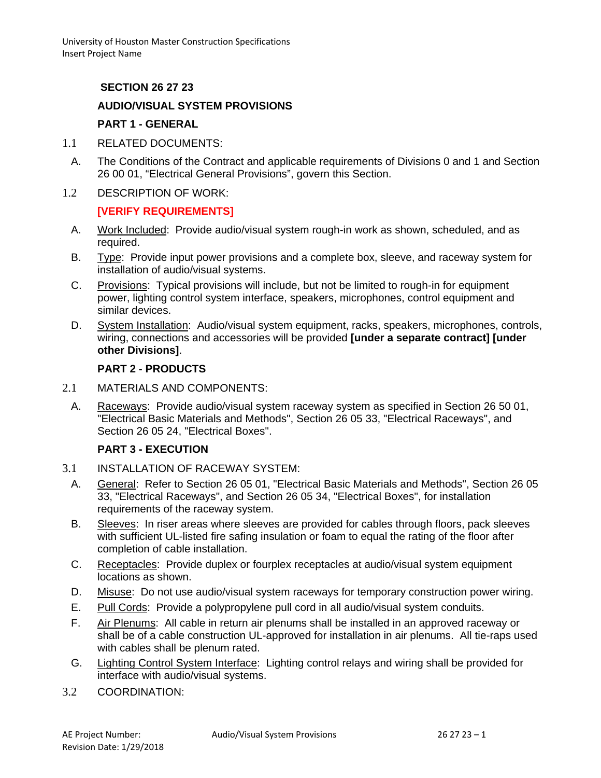# **SECTION 26 27 23**

## **AUDIO/VISUAL SYSTEM PROVISIONS**

### **PART 1 - GENERAL**

- 1.1 RELATED DOCUMENTS:
- A. The Conditions of the Contract and applicable requirements of Divisions 0 and 1 and Section 26 00 01, "Electrical General Provisions", govern this Section.
- 1.2 DESCRIPTION OF WORK:

### **[VERIFY REQUIREMENTS]**

- A. Work Included: Provide audio/visual system rough-in work as shown, scheduled, and as required.
- B. Type: Provide input power provisions and a complete box, sleeve, and raceway system for installation of audio/visual systems.
- C. Provisions: Typical provisions will include, but not be limited to rough-in for equipment power, lighting control system interface, speakers, microphones, control equipment and similar devices.
- D. System Installation: Audio/visual system equipment, racks, speakers, microphones, controls, wiring, connections and accessories will be provided **[under a separate contract] [under other Divisions]**.

#### **PART 2 - PRODUCTS**

- 2.1 MATERIALS AND COMPONENTS:
	- A. Raceways: Provide audio/visual system raceway system as specified in Section 26 50 01, "Electrical Basic Materials and Methods", Section 26 05 33, "Electrical Raceways", and Section 26 05 24, "Electrical Boxes".

### **PART 3 - EXECUTION**

- 3.1 INSTALLATION OF RACEWAY SYSTEM:
	- A. General: Refer to Section 26 05 01, "Electrical Basic Materials and Methods", Section 26 05 33, "Electrical Raceways", and Section 26 05 34, "Electrical Boxes", for installation requirements of the raceway system.
	- B. Sleeves: In riser areas where sleeves are provided for cables through floors, pack sleeves with sufficient UL-listed fire safing insulation or foam to equal the rating of the floor after completion of cable installation.
	- C. Receptacles: Provide duplex or fourplex receptacles at audio/visual system equipment locations as shown.
	- D. Misuse: Do not use audio/visual system raceways for temporary construction power wiring.
	- E. Pull Cords: Provide a polypropylene pull cord in all audio/visual system conduits.
	- F. Air Plenums: All cable in return air plenums shall be installed in an approved raceway or shall be of a cable construction UL-approved for installation in air plenums. All tie-raps used with cables shall be plenum rated.
	- G. Lighting Control System Interface: Lighting control relays and wiring shall be provided for interface with audio/visual systems.
- 3.2 COORDINATION: